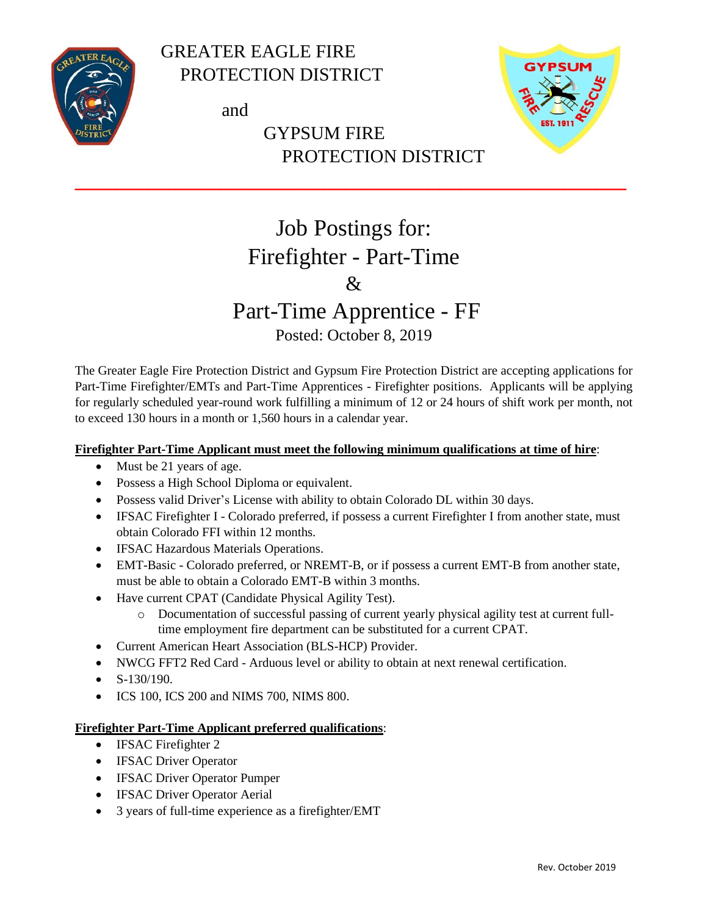

 GREATER EAGLE FIRE PROTECTION DISTRICT

and

### GYPSUM FIRE PROTECTION DISTRICT



## Job Postings for: Firefighter - Part-Time &

**\_\_\_\_\_\_\_\_\_\_\_\_\_\_\_\_\_\_\_\_\_\_\_\_\_\_\_\_\_\_\_\_\_\_\_\_\_\_\_\_\_\_\_\_\_\_\_\_\_\_\_\_\_**

# Part-Time Apprentice - FF

### Posted: October 8, 2019

The Greater Eagle Fire Protection District and Gypsum Fire Protection District are accepting applications for Part-Time Firefighter/EMTs and Part-Time Apprentices - Firefighter positions. Applicants will be applying for regularly scheduled year-round work fulfilling a minimum of 12 or 24 hours of shift work per month, not to exceed 130 hours in a month or 1,560 hours in a calendar year.

#### **Firefighter Part-Time Applicant must meet the following minimum qualifications at time of hire**:

- Must be 21 years of age.
- Possess a High School Diploma or equivalent.
- Possess valid Driver's License with ability to obtain Colorado DL within 30 days.
- IFSAC Firefighter I Colorado preferred, if possess a current Firefighter I from another state, must obtain Colorado FFI within 12 months.
- IFSAC Hazardous Materials Operations.
- EMT-Basic Colorado preferred, or NREMT-B, or if possess a current EMT-B from another state, must be able to obtain a Colorado EMT-B within 3 months.
- Have current CPAT (Candidate Physical Agility Test).
	- o Documentation of successful passing of current yearly physical agility test at current fulltime employment fire department can be substituted for a current CPAT.
- Current American Heart Association (BLS-HCP) Provider.
- NWCG FFT2 Red Card Arduous level or ability to obtain at next renewal certification.
- S-130/190.
- ICS 100, ICS 200 and NIMS 700, NIMS 800.

#### **Firefighter Part-Time Applicant preferred qualifications**:

- IFSAC Firefighter 2
- IFSAC Driver Operator
- IFSAC Driver Operator Pumper
- IFSAC Driver Operator Aerial
- 3 years of full-time experience as a firefighter/EMT